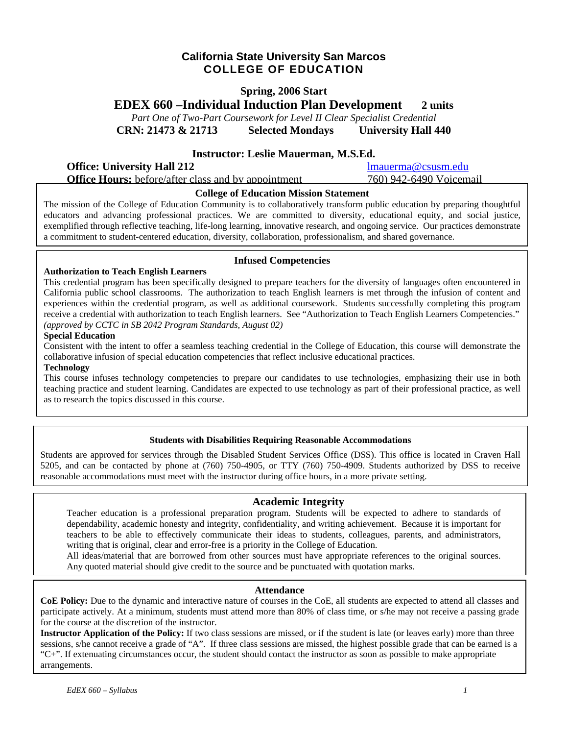## **California State University San Marcos COLLEGE OF EDUCATION**

### **Spring, 2006 Start**

**EDEX 660 –Individual Induction Plan Development 2 units**

*Part One of Two-Part Coursework for Level II Clear Specialist Credential*  **CRN: 21473 & 21713 Selected Mondays University Hall 440** 

### **Instructor: Leslie Mauerman, M.S.Ed.**

**Office: University Hall 212** lmauerma@csusm.edu **Office Hours:** before/after class and by appointment 760) 942-6490 Voicemail

#### **College of Education Mission Statement**

The mission of the College of Education Community is to collaboratively transform public education by preparing thoughtful educators and advancing professional practices. We are committed to diversity, educational equity, and social justice, exemplified through reflective teaching, life-long learning, innovative research, and ongoing service. Our practices demonstrate a commitment to student-centered education, diversity, collaboration, professionalism, and shared governance.

### **Infused Competencies**

**Authorization to Teach English Learners** 

This credential program has been specifically designed to prepare teachers for the diversity of languages often encountered in California public school classrooms. The authorization to teach English learners is met through the infusion of content and experiences within the credential program, as well as additional coursework. Students successfully completing this program receive a credential with authorization to teach English learners. See "Authorization to Teach English Learners Competencies." *(approved by CCTC in SB 2042 Program Standards, August 02)* 

#### **Special Education**

Consistent with the intent to offer a seamless teaching credential in the College of Education, this course will demonstrate the collaborative infusion of special education competencies that reflect inclusive educational practices.

#### **Technology**

This course infuses technology competencies to prepare our candidates to use technologies, emphasizing their use in both teaching practice and student learning. Candidates are expected to use technology as part of their professional practice, as well as to research the topics discussed in this course.

#### **Students with Disabilities Requiring Reasonable Accommodations**

Students are approved for services through the Disabled Student Services Office (DSS). This office is located in Craven Hall 5205, and can be contacted by phone at (760) 750-4905, or TTY (760) 750-4909. Students authorized by DSS to receive reasonable accommodations must meet with the instructor during office hours, in a more private setting.

### **Academic Integrity**

Teacher education is a professional preparation program. Students will be expected to adhere to standards of dependability, academic honesty and integrity, confidentiality, and writing achievement. Because it is important for teachers to be able to effectively communicate their ideas to students, colleagues, parents, and administrators, writing that is original, clear and error-free is a priority in the College of Education.

All ideas/material that are borrowed from other sources must have appropriate references to the original sources. Any quoted material should give credit to the source and be punctuated with quotation marks.

#### **Attendance**

**CoE Policy:** Due to the dynamic and interactive nature of courses in the CoE, all students are expected to attend all classes and participate actively. At a minimum, students must attend more than 80% of class time, or s/he may not receive a passing grade for the course at the discretion of the instructor.

for the course at the discretion of the instructor.<br>**Instructor Application of the Policy:** If two class sessions are missed, or if the student is late (or leaves early) more than three **COURS AND TREADED OF THE FORTY.** If the class sessions are missed, or if the statent is face (or reaves early) more than three sessions, s/he cannot receive a grade of "A". If three class sessions are missed, the highest "C+". If extenuating circumstances occur, the student should contact the instructor as soon as possible to make appropriate arrangements.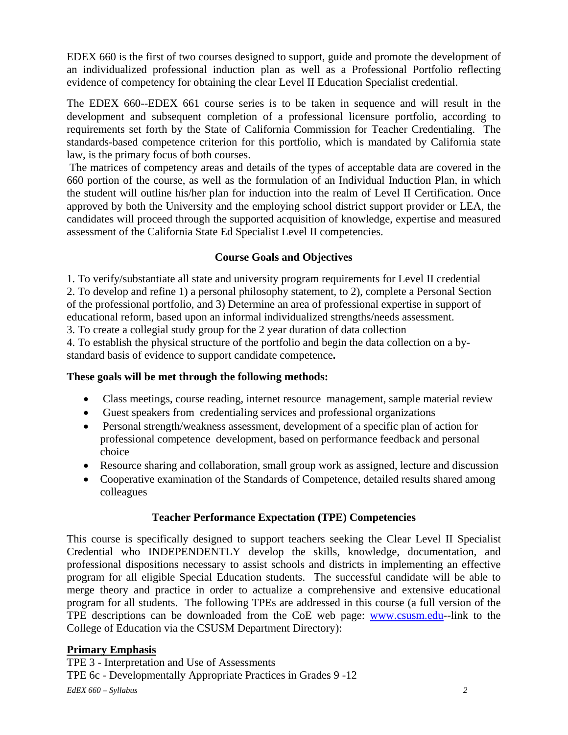EDEX 660 is the first of two courses designed to support, guide and promote the development of an individualized professional induction plan as well as a Professional Portfolio reflecting evidence of competency for obtaining the clear Level II Education Specialist credential.

The EDEX 660--EDEX 661 course series is to be taken in sequence and will result in the development and subsequent completion of a professional licensure portfolio, according to requirements set forth by the State of California Commission for Teacher Credentialing. The standards-based competence criterion for this portfolio, which is mandated by California state law, is the primary focus of both courses.

 The matrices of competency areas and details of the types of acceptable data are covered in the 660 portion of the course, as well as the formulation of an Individual Induction Plan, in which the student will outline his/her plan for induction into the realm of Level II Certification. Once approved by both the University and the employing school district support provider or LEA, the candidates will proceed through the supported acquisition of knowledge, expertise and measured assessment of the California State Ed Specialist Level II competencies.

# **Course Goals and Objectives**

1. To verify/substantiate all state and university program requirements for Level II credential 2. To develop and refine 1) a personal philosophy statement, to 2), complete a Personal Section of the professional portfolio, and 3) Determine an area of professional expertise in support of educational reform, based upon an informal individualized strengths/needs assessment.

3. To create a collegial study group for the 2 year duration of data collection

4. To establish the physical structure of the portfolio and begin the data collection on a bystandard basis of evidence to support candidate competence**.** 

## **These goals will be met through the following methods:**

- Class meetings, course reading, internet resource management, sample material review
- Guest speakers from credentialing services and professional organizations
- Personal strength/weakness assessment, development of a specific plan of action for professional competence development, based on performance feedback and personal choice
- Resource sharing and collaboration, small group work as assigned, lecture and discussion
- Cooperative examination of the Standards of Competence, detailed results shared among colleagues

# **Teacher Performance Expectation (TPE) Competencies**

This course is specifically designed to support teachers seeking the Clear Level II Specialist Credential who INDEPENDENTLY develop the skills, knowledge, documentation, and professional dispositions necessary to assist schools and districts in implementing an effective program for all eligible Special Education students. The successful candidate will be able to merge theory and practice in order to actualize a comprehensive and extensive educational program for all students. The following TPEs are addressed in this course (a full version of the TPE descriptions can be downloaded from the CoE web page: www.csusm.edu--link to the College of Education via the CSUSM Department Directory):

# **Primary Emphasis**

*EdEX 660 – Syllabus 2*  TPE 3 - Interpretation and Use of Assessments TPE 6c - Developmentally Appropriate Practices in Grades 9 -12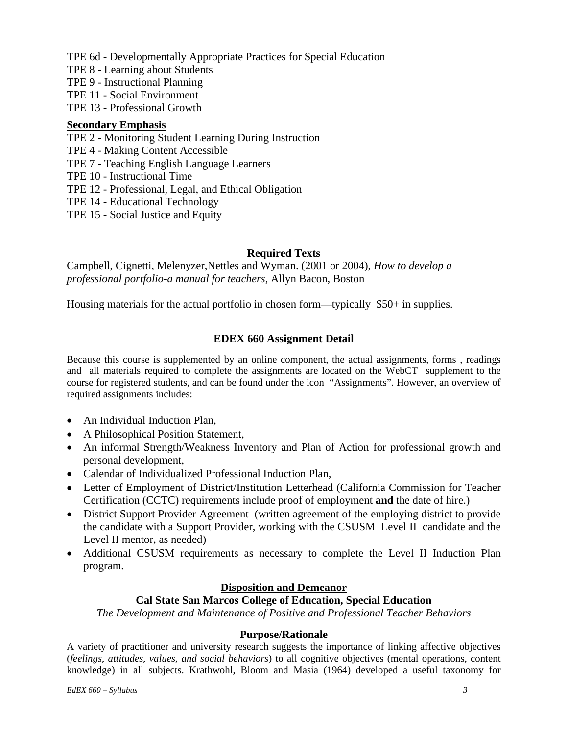TPE 6d - Developmentally Appropriate Practices for Special Education

- TPE 8 Learning about Students
- TPE 9 Instructional Planning
- TPE 11 Social Environment
- TPE 13 Professional Growth

## **Secondary Emphasis**

- TPE 2 Monitoring Student Learning During Instruction
- TPE 4 Making Content Accessible
- TPE 7 Teaching English Language Learners
- TPE 10 Instructional Time
- TPE 12 Professional, Legal, and Ethical Obligation
- TPE 14 Educational Technology
- TPE 15 Social Justice and Equity

## **Required Texts**

Campbell, Cignetti, Melenyzer,Nettles and Wyman. (2001 or 2004), *How to develop a professional portfolio-a manual for teachers*, Allyn Bacon, Boston

Housing materials for the actual portfolio in chosen form—typically \$50+ in supplies.

## **EDEX 660 Assignment Detail**

Because this course is supplemented by an online component, the actual assignments, forms , readings and all materials required to complete the assignments are located on the WebCT supplement to the course for registered students, and can be found under the icon "Assignments". However, an overview of required assignments includes:

- An Individual Induction Plan.
- A Philosophical Position Statement,
- An informal Strength/Weakness Inventory and Plan of Action for professional growth and personal development,
- Calendar of Individualized Professional Induction Plan,
- Letter of Employment of District/Institution Letterhead (California Commission for Teacher Certification (CCTC) requirements include proof of employment **and** the date of hire.)
- District Support Provider Agreement (written agreement of the employing district to provide the candidate with a Support Provider, working with the CSUSM Level II candidate and the Level II mentor, as needed)
- Additional CSUSM requirements as necessary to complete the Level II Induction Plan program.

## **Disposition and Demeanor**

## **Cal State San Marcos College of Education, Special Education**

*The Development and Maintenance of Positive and Professional Teacher Behaviors* 

## **Purpose/Rationale**

A variety of practitioner and university research suggests the importance of linking affective objectives (*feelings, attitudes, values, and social behaviors*) to all cognitive objectives (mental operations, content knowledge) in all subjects. Krathwohl, Bloom and Masia (1964) developed a useful taxonomy for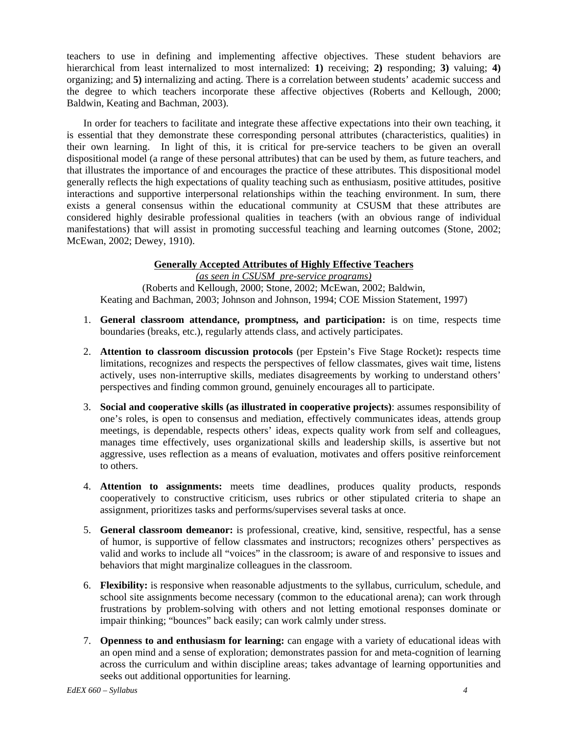teachers to use in defining and implementing affective objectives. These student behaviors are hierarchical from least internalized to most internalized: **1)** receiving; **2)** responding; **3)** valuing; **4)** organizing; and **5)** internalizing and acting. There is a correlation between students' academic success and the degree to which teachers incorporate these affective objectives (Roberts and Kellough, 2000; Baldwin, Keating and Bachman, 2003).

In order for teachers to facilitate and integrate these affective expectations into their own teaching, it is essential that they demonstrate these corresponding personal attributes (characteristics, qualities) in their own learning. In light of this, it is critical for pre-service teachers to be given an overall dispositional model (a range of these personal attributes) that can be used by them, as future teachers, and that illustrates the importance of and encourages the practice of these attributes. This dispositional model generally reflects the high expectations of quality teaching such as enthusiasm, positive attitudes, positive interactions and supportive interpersonal relationships within the teaching environment. In sum, there exists a general consensus within the educational community at CSUSM that these attributes are considered highly desirable professional qualities in teachers (with an obvious range of individual manifestations) that will assist in promoting successful teaching and learning outcomes (Stone, 2002; McEwan, 2002; Dewey, 1910).

### **Generally Accepted Attributes of Highly Effective Teachers**

*(as seen in CSUSM pre-service programs)*  (Roberts and Kellough, 2000; Stone, 2002; McEwan, 2002; Baldwin, Keating and Bachman, 2003; Johnson and Johnson, 1994; COE Mission Statement, 1997)

- 1. **General classroom attendance, promptness, and participation:** is on time, respects time boundaries (breaks, etc.), regularly attends class, and actively participates.
- 2. **Attention to classroom discussion protocols** (per Epstein's Five Stage Rocket)**:** respects time limitations, recognizes and respects the perspectives of fellow classmates, gives wait time, listens actively, uses non-interruptive skills, mediates disagreements by working to understand others' perspectives and finding common ground, genuinely encourages all to participate.
- 3. **Social and cooperative skills (as illustrated in cooperative projects)**: assumes responsibility of one's roles, is open to consensus and mediation, effectively communicates ideas, attends group meetings, is dependable, respects others' ideas, expects quality work from self and colleagues, manages time effectively, uses organizational skills and leadership skills, is assertive but not aggressive, uses reflection as a means of evaluation, motivates and offers positive reinforcement to others.
- 4. **Attention to assignments:** meets time deadlines, produces quality products, responds cooperatively to constructive criticism, uses rubrics or other stipulated criteria to shape an assignment, prioritizes tasks and performs/supervises several tasks at once.
- 5. **General classroom demeanor:** is professional, creative, kind, sensitive, respectful, has a sense of humor, is supportive of fellow classmates and instructors; recognizes others' perspectives as valid and works to include all "voices" in the classroom; is aware of and responsive to issues and behaviors that might marginalize colleagues in the classroom.
- 6. **Flexibility:** is responsive when reasonable adjustments to the syllabus, curriculum, schedule, and school site assignments become necessary (common to the educational arena); can work through frustrations by problem-solving with others and not letting emotional responses dominate or impair thinking; "bounces" back easily; can work calmly under stress.
- 7. **Openness to and enthusiasm for learning:** can engage with a variety of educational ideas with an open mind and a sense of exploration; demonstrates passion for and meta-cognition of learning across the curriculum and within discipline areas; takes advantage of learning opportunities and seeks out additional opportunities for learning.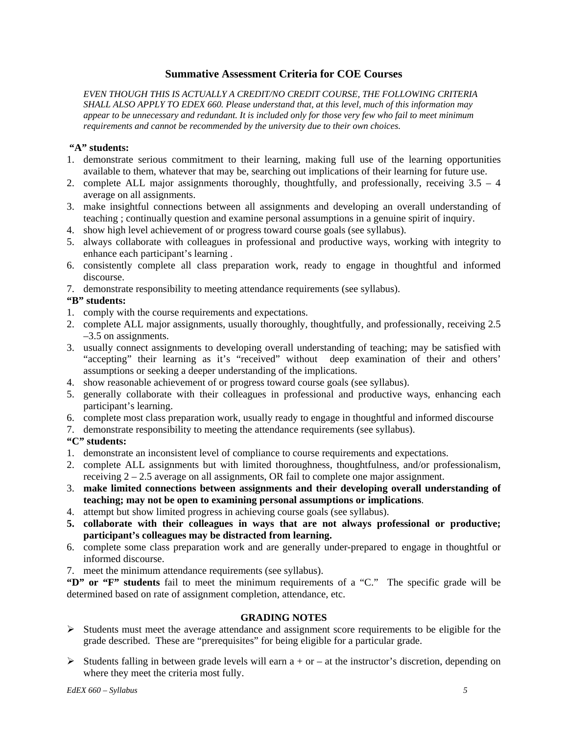### **Summative Assessment Criteria for COE Courses**

*EVEN THOUGH THIS IS ACTUALLY A CREDIT/NO CREDIT COURSE, THE FOLLOWING CRITERIA SHALL ALSO APPLY TO EDEX 660. Please understand that, at this level, much of this information may appear to be unnecessary and redundant. It is included only for those very few who fail to meet minimum requirements and cannot be recommended by the university due to their own choices.* 

### **"A" students:**

- 1. demonstrate serious commitment to their learning, making full use of the learning opportunities available to them, whatever that may be, searching out implications of their learning for future use.
- 2. complete ALL major assignments thoroughly, thoughtfully, and professionally, receiving  $3.5 4$ average on all assignments.
- 3. make insightful connections between all assignments and developing an overall understanding of teaching ; continually question and examine personal assumptions in a genuine spirit of inquiry.
- 4. show high level achievement of or progress toward course goals (see syllabus).
- 5. always collaborate with colleagues in professional and productive ways, working with integrity to enhance each participant's learning .
- 6. consistently complete all class preparation work, ready to engage in thoughtful and informed discourse.
- 7. demonstrate responsibility to meeting attendance requirements (see syllabus).

## **"B" students:**

- 1. comply with the course requirements and expectations.
- 2. complete ALL major assignments, usually thoroughly, thoughtfully, and professionally, receiving 2.5 –3.5 on assignments.
- 3. usually connect assignments to developing overall understanding of teaching; may be satisfied with "accepting" their learning as it's "received" without deep examination of their and others' assumptions or seeking a deeper understanding of the implications.
- 4. show reasonable achievement of or progress toward course goals (see syllabus).
- 5. generally collaborate with their colleagues in professional and productive ways, enhancing each participant's learning.
- 6. complete most class preparation work, usually ready to engage in thoughtful and informed discourse
- 7. demonstrate responsibility to meeting the attendance requirements (see syllabus).

## **"C" students:**

- 1. demonstrate an inconsistent level of compliance to course requirements and expectations.
- 2. complete ALL assignments but with limited thoroughness, thoughtfulness, and/or professionalism, receiving 2 – 2.5 average on all assignments, OR fail to complete one major assignment.
- 3. **make limited connections between assignments and their developing overall understanding of teaching; may not be open to examining personal assumptions or implications**.
- 4. attempt but show limited progress in achieving course goals (see syllabus).
- **5. collaborate with their colleagues in ways that are not always professional or productive; participant's colleagues may be distracted from learning.**
- 6. complete some class preparation work and are generally under-prepared to engage in thoughtful or informed discourse.
- 7. meet the minimum attendance requirements (see syllabus).

**"D" or "F" students** fail to meet the minimum requirements of a "C." The specific grade will be determined based on rate of assignment completion, attendance, etc.

### **GRADING NOTES**

- ¾ Students must meet the average attendance and assignment score requirements to be eligible for the grade described. These are "prerequisites" for being eligible for a particular grade.
- $\triangleright$  Students falling in between grade levels will earn a + or at the instructor's discretion, depending on where they meet the criteria most fully.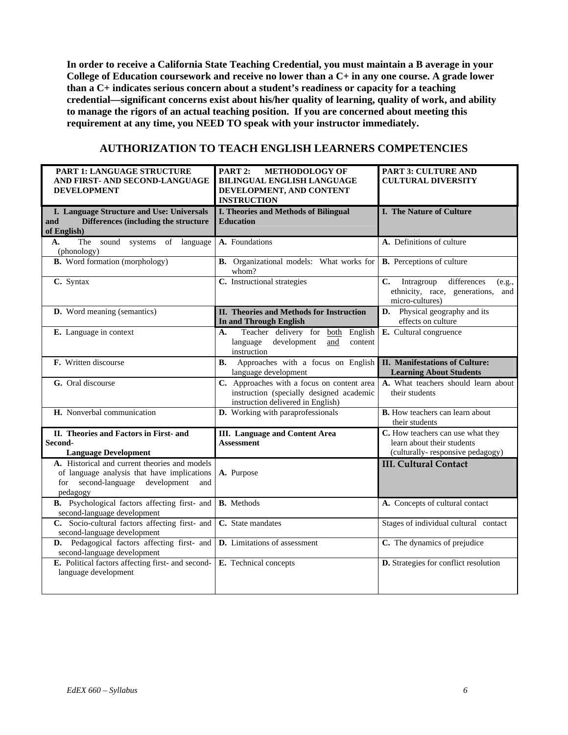**In order to receive a California State Teaching Credential, you must maintain a B average in your College of Education coursework and receive no lower than a C+ in any one course. A grade lower than a C+ indicates serious concern about a student's readiness or capacity for a teaching credential—significant concerns exist about his/her quality of learning, quality of work, and ability to manage the rigors of an actual teaching position. If you are concerned about meeting this requirement at any time, you NEED TO speak with your instructor immediately.** 

## **AUTHORIZATION TO TEACH ENGLISH LEARNERS COMPETENCIES**

| PART 1: LANGUAGE STRUCTURE<br>AND FIRST- AND SECOND-LANGUAGE<br><b>DEVELOPMENT</b>                                                                 | PART 2:<br><b>METHODOLOGY OF</b><br>BILINGUAL ENGLISH LANGUAGE<br>DEVELOPMENT, AND CONTENT<br><b>INSTRUCTION</b>            | PART 3: CULTURE AND<br><b>CULTURAL DIVERSITY</b>                                                                 |
|----------------------------------------------------------------------------------------------------------------------------------------------------|-----------------------------------------------------------------------------------------------------------------------------|------------------------------------------------------------------------------------------------------------------|
| I. Language Structure and Use: Universals<br>Differences (including the structure<br>and<br>of English)                                            | <b>I. Theories and Methods of Bilingual</b><br><b>Education</b>                                                             | <b>I. The Nature of Culture</b>                                                                                  |
| The sound systems of language<br>А.<br>(phonology)                                                                                                 | A. Foundations                                                                                                              | A. Definitions of culture                                                                                        |
| <b>B.</b> Word formation (morphology)                                                                                                              | <b>B.</b> Organizational models: What works for<br>whom?                                                                    | <b>B.</b> Perceptions of culture                                                                                 |
| C. Syntax                                                                                                                                          | C. Instructional strategies                                                                                                 | Intragroup<br>differences<br>$\mathbf{C}$ .<br>(e.g.,<br>ethnicity, race, generations,<br>and<br>micro-cultures) |
| D. Word meaning (semantics)                                                                                                                        | II. Theories and Methods for Instruction<br>In and Through English                                                          | D.<br>Physical geography and its<br>effects on culture                                                           |
| E. Language in context                                                                                                                             | Teacher delivery for<br>both<br>English<br>A.<br>development<br>language<br>and<br>content<br>instruction                   | E. Cultural congruence                                                                                           |
| F. Written discourse                                                                                                                               | Approaches with a focus on English<br><b>B.</b><br>language development                                                     | <b>II. Manifestations of Culture:</b><br><b>Learning About Students</b>                                          |
| G. Oral discourse                                                                                                                                  | C. Approaches with a focus on content area<br>instruction (specially designed academic<br>instruction delivered in English) | A. What teachers should learn about<br>their students                                                            |
| H. Nonverbal communication                                                                                                                         | D. Working with paraprofessionals                                                                                           | <b>B.</b> How teachers can learn about<br>their students                                                         |
| II. Theories and Factors in First- and<br>Second-<br><b>Language Development</b>                                                                   | <b>III.</b> Language and Content Area<br><b>Assessment</b>                                                                  | C. How teachers can use what they<br>learn about their students<br>(culturally-responsive pedagogy)              |
| A. Historical and current theories and models<br>of language analysis that have implications<br>for second-language development<br>and<br>pedagogy | A. Purpose                                                                                                                  | <b>III. Cultural Contact</b>                                                                                     |
| <b>B.</b> Psychological factors affecting first- and<br>second-language development                                                                | <b>B.</b> Methods                                                                                                           | A. Concepts of cultural contact                                                                                  |
| C. Socio-cultural factors affecting first- and<br>second-language development                                                                      | $\overline{C}$ . State mandates                                                                                             | Stages of individual cultural contact                                                                            |
| D. Pedagogical factors affecting first- and<br>second-language development                                                                         | D. Limitations of assessment                                                                                                | C. The dynamics of prejudice                                                                                     |
| E. Political factors affecting first- and second-<br>language development                                                                          | E. Technical concepts                                                                                                       | D. Strategies for conflict resolution                                                                            |